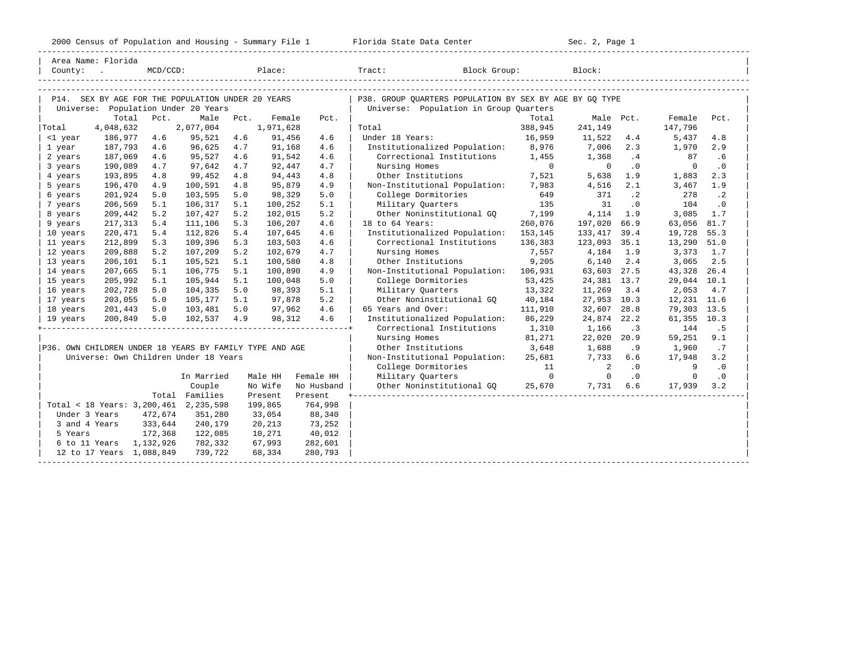-----------------------------------------------------------------------------------------------------------------------------------------------------

|                                                                                          | Area Name: Florida                                             |             |                                                         |      |           |            |                                                                                                   |          |                          |           |             |           |  |
|------------------------------------------------------------------------------------------|----------------------------------------------------------------|-------------|---------------------------------------------------------|------|-----------|------------|---------------------------------------------------------------------------------------------------|----------|--------------------------|-----------|-------------|-----------|--|
| County:                                                                                  |                                                                | $MCD/CCD$ : |                                                         |      | Place:    |            | Block Group:<br>Tract:                                                                            |          | Block:                   |           |             |           |  |
|                                                                                          |                                                                |             |                                                         |      |           |            |                                                                                                   |          |                          |           |             |           |  |
|                                                                                          |                                                                |             |                                                         |      |           |            |                                                                                                   |          |                          |           |             |           |  |
| P14. SEX BY AGE FOR THE POPULATION UNDER 20 YEARS<br>Universe: Population Under 20 Years |                                                                |             |                                                         |      |           |            | P38. GROUP OUARTERS POPULATION BY SEX BY AGE BY GO TYPE<br>Universe: Population in Group Quarters |          |                          |           |             |           |  |
|                                                                                          | Total                                                          | Pct.        | Male                                                    | Pct. | Female    | Pct.       |                                                                                                   | Total    | Male Pct.                |           | Female      | Pct.      |  |
| Total                                                                                    | 4,048,632                                                      |             | 2,077,004                                               |      | 1,971,628 |            | Total                                                                                             | 388,945  | 241,149                  |           | 147,796     |           |  |
| <1 year                                                                                  | 186,977                                                        | 4.6         | 95,521                                                  | 4.6  | 91,456    | 4.6        | Under 18 Years:                                                                                   | 16,959   | 11,522                   | 4.4       | 5,437       | 4.8       |  |
| 1 year                                                                                   | 187,793                                                        | 4.6         | 96,625                                                  | 4.7  | 91,168    | 4.6        | Institutionalized Population:                                                                     | 8,976    | 7,006                    | 2.3       | 1,970       | 2.9       |  |
| 2 years                                                                                  | 187,069                                                        | 4.6         | 95,527                                                  | 4.6  | 91,542    | 4.6        | Correctional Institutions                                                                         | 1,455    | 1,368                    | .4        | 87          | .6        |  |
| 3 years                                                                                  | 190,089                                                        | 4.7         | 97,642                                                  | 4.7  | 92,447    | 4.7        | Nursing Homes                                                                                     | $\circ$  | $\circ$                  | $\cdot$ 0 | $\mathbf 0$ | $\cdot$ 0 |  |
| 4 years                                                                                  | 193,895                                                        | 4.8         | 99,452                                                  | 4.8  | 94,443    | 4.8        | Other Institutions                                                                                | 7,521    | 5,638                    | 1.9       | 1,883       | 2.3       |  |
| 5 years                                                                                  | 196,470                                                        | 4.9         | 100,591                                                 | 4.8  | 95,879    | 4.9        | Non-Institutional Population:                                                                     | 7,983    | 4,516                    | 2.1       | 3,467       | 1.9       |  |
| 6 years                                                                                  | 201,924                                                        | 5.0         | 103,595                                                 | 5.0  | 98,329    | 5.0        | College Dormitories                                                                               | 649      | 371                      | $\cdot$ 2 | 278         | $\cdot$ 2 |  |
| 7 years                                                                                  | 206,569                                                        | 5.1         | 106,317                                                 | 5.1  | 100,252   | 5.1        | Military Quarters                                                                                 | 135      | 31                       | $\cdot$ 0 | 104         | $\cdot$ 0 |  |
| 8 years                                                                                  | 209,442                                                        | 5.2         | 107,427                                                 | 5.2  | 102,015   | 5.2        | Other Noninstitutional GO                                                                         | 7,199    | 4,114                    | 1.9       | 3,085       | 1.7       |  |
| 9 years                                                                                  | 217,313                                                        | 5.4         | 111,106                                                 | 5.3  | 106,207   | 4.6        | 18 to 64 Years:                                                                                   | 260,076  | 197,020                  | 66.9      | 63,056      | 81.7      |  |
| 10 years                                                                                 | 220,471                                                        | 5.4         | 112,826                                                 | 5.4  | 107,645   | 4.6        | Institutionalized Population:                                                                     | 153,145  | 133,417                  | 39.4      | 19,728      | 55.3      |  |
| 11 years                                                                                 | 212,899                                                        | 5.3         | 109,396                                                 | 5.3  | 103,503   | 4.6        | Correctional Institutions                                                                         | 136,383  | 123,093                  | 35.1      | 13,290      | 51.0      |  |
| 12 years                                                                                 | 209,888                                                        | 5.2         | 107,209                                                 | 5.2  | 102,679   | 4.7        | Nursing Homes                                                                                     | 7,557    | 4,184                    | 1.9       | 3,373       | 1.7       |  |
| 13 years                                                                                 | 206,101                                                        | 5.1         | 105,521                                                 | 5.1  | 100,580   | 4.8        | Other Institutions                                                                                | 9,205    | 6,140                    | 2.4       | 3,065       | 2.5       |  |
| 14 years                                                                                 | 207,665                                                        | 5.1         | 106,775                                                 | 5.1  | 100,890   | 4.9        | Non-Institutional Population:                                                                     | 106,931  | 63,603                   | 27.5      | 43,328      | 26.4      |  |
| 15 years                                                                                 | 205,992                                                        | 5.1         | 105,944                                                 | 5.1  | 100,048   | 5.0        | College Dormitories                                                                               | 53,425   | 24,381 13.7              |           | 29,044      | 10.1      |  |
| 16 years                                                                                 | 202,728                                                        | 5.0         | 104,335                                                 | 5.0  | 98,393    | 5.1        | Military Ouarters                                                                                 | 13,322   | 11,269                   | 3.4       | 2,053       | 4.7       |  |
| 17 years                                                                                 | 203,055                                                        | 5.0         | 105,177                                                 | 5.1  | 97,878    | 5.2        | Other Noninstitutional GO                                                                         | 40,184   | 27,953 10.3              |           | 12,231      | 11.6      |  |
| 18 years                                                                                 | 201,443                                                        | 5.0         | 103,481                                                 | 5.0  | 97,962    | 4.6        | 65 Years and Over:                                                                                | 111,910  | 32,607                   | 28.8      | 79,303      | 13.5      |  |
| 19 years                                                                                 | 200,849                                                        | 5.0         | 102,537                                                 | 4.9  | 98,312    | 4.6        | Institutionalized Population:                                                                     | 86,229   | 24,874                   | 22.2      | 61,355      | 10.3      |  |
|                                                                                          |                                                                |             |                                                         |      |           |            | Correctional Institutions                                                                         | 1,310    | 1,166                    | .3        | 144         | .5        |  |
|                                                                                          |                                                                |             |                                                         |      |           |            | Nursing Homes                                                                                     | 81,271   | 22,020                   | 20.9      | 59,251      | 9.1       |  |
|                                                                                          |                                                                |             | P36. OWN CHILDREN UNDER 18 YEARS BY FAMILY TYPE AND AGE |      |           |            | Other Institutions                                                                                | 3,648    | 1,688                    | .9        | 1,960       | .7        |  |
|                                                                                          |                                                                |             | Universe: Own Children Under 18 Years                   |      |           |            | Non-Institutional Population:                                                                     | 25,681   | 7,733                    | 6.6       | 17,948      | 3.2       |  |
|                                                                                          |                                                                |             |                                                         |      |           |            | College Dormitories                                                                               | 11       | $\overline{\phantom{a}}$ | $\cdot$ 0 | 9           | $\cdot$ 0 |  |
|                                                                                          |                                                                |             | In Married                                              |      | Male HH   | Female HH  | Military Quarters                                                                                 | $\Omega$ | $\overline{0}$           | $\cdot$ 0 | $\mathbf 0$ | $\cdot$ 0 |  |
|                                                                                          |                                                                |             | Couple                                                  |      | No Wife   | No Husband | Other Noninstitutional GQ                                                                         | 25,670   | 7,731 6.6                |           | 17,939      | 3.2       |  |
|                                                                                          |                                                                |             | Total Families                                          |      | Present   | Present    |                                                                                                   |          |                          |           |             |           |  |
|                                                                                          | Total < 18 Years: 3,200,461<br>2,235,598<br>199,865<br>764,998 |             |                                                         |      |           |            |                                                                                                   |          |                          |           |             |           |  |
|                                                                                          | Under 3 Years<br>472,674<br>351,280<br>33,054<br>88,340        |             |                                                         |      |           |            |                                                                                                   |          |                          |           |             |           |  |
|                                                                                          | 333,644<br>240,179<br>20,213<br>73,252<br>3 and 4 Years        |             |                                                         |      |           |            |                                                                                                   |          |                          |           |             |           |  |
| 5 Years                                                                                  |                                                                | 172,368     | 122,085                                                 |      | 10,271    | 40,012     |                                                                                                   |          |                          |           |             |           |  |
|                                                                                          | 6 to 11 Years                                                  | 1,132,926   | 782,332                                                 |      | 67,993    | 282,601    |                                                                                                   |          |                          |           |             |           |  |
|                                                                                          | 12 to 17 Years 1,088,849                                       |             | 739,722                                                 |      | 68,334    | 280,793    |                                                                                                   |          |                          |           |             |           |  |
|                                                                                          |                                                                |             |                                                         |      |           |            |                                                                                                   |          |                          |           |             |           |  |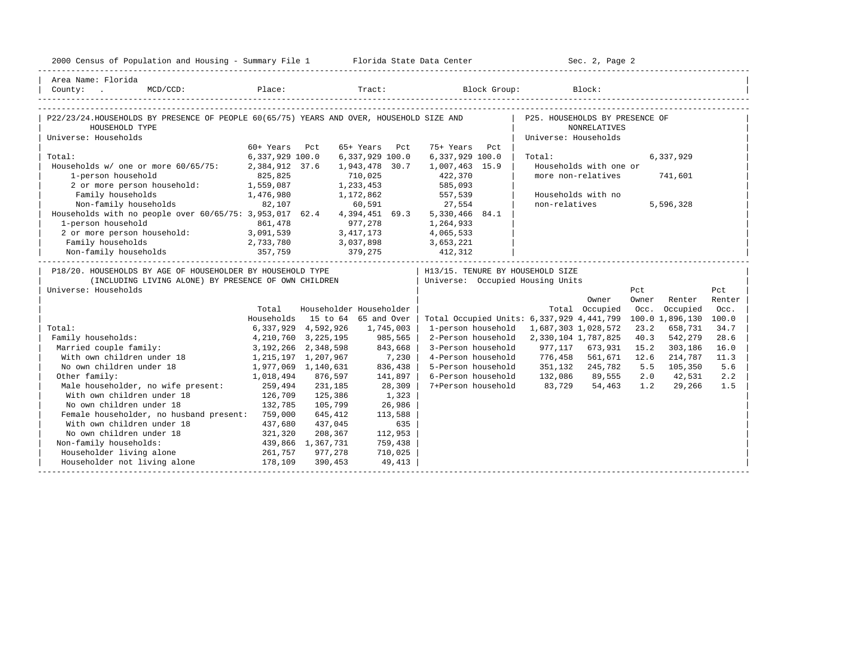| Area Name: Florida<br>County: MCD/CCD:<br>P22/23/24.HOUSEHOLDS BY PRESENCE OF PEOPLE 60(65/75) YEARS AND OVER, HOUSEHOLD SIZE AND   P25. HOUSEHOLDS BY PRESENCE OF<br>HOUSEHOLD TYPE<br><b>NONRELATIVES</b><br>Universe: Households<br>Universe: Households<br>60+ Years Pct<br>65+ Years Pct<br>75+ Years Pct<br>6,337,929 100.0<br>Total:<br>6,337,929 100.0<br>6,337,929 100.0<br>Total:<br>6,337,929<br>Households w/ one or more 60/65/75: 2,384,912 37.6<br>Households with one or<br>1,943,478 30.7<br>1,007,463 15.9<br>more non-relatives<br>1-person household<br>825,825<br>710,025<br>422,370<br>585,093<br>741,601<br>1-person nousenoid:<br>2 or more person household:<br>2 or more person household:<br>2 or more person household:<br>1,476,980<br>1, 172, 862 557, 539<br>Family households<br>and the property<br>Households with no<br>Non-family households 82,107 60,591 27,554<br>Households with no people over 60/65/75: 3,953,017 62.4 4,394,451 69.3 5,330,466 84.1<br>non-relatives<br>5,596,328<br>977, 278 1, 264, 933<br>1-person household<br>861,478<br>3, 417, 173 4, 065, 533<br>2 or more person household: 3,091,539<br>3,037,898<br>379,275<br>412,312<br>Family households 2,733,780<br>Non-family households 357,759 | 2000 Census of Population and Housing - Summary File 1 Florida State Data Center |  |  | Sec. 2, Page 2 |  |
|--------------------------------------------------------------------------------------------------------------------------------------------------------------------------------------------------------------------------------------------------------------------------------------------------------------------------------------------------------------------------------------------------------------------------------------------------------------------------------------------------------------------------------------------------------------------------------------------------------------------------------------------------------------------------------------------------------------------------------------------------------------------------------------------------------------------------------------------------------------------------------------------------------------------------------------------------------------------------------------------------------------------------------------------------------------------------------------------------------------------------------------------------------------------------------------------------------------------------------------------------------------|----------------------------------------------------------------------------------|--|--|----------------|--|
|                                                                                                                                                                                                                                                                                                                                                                                                                                                                                                                                                                                                                                                                                                                                                                                                                                                                                                                                                                                                                                                                                                                                                                                                                                                              |                                                                                  |  |  |                |  |
|                                                                                                                                                                                                                                                                                                                                                                                                                                                                                                                                                                                                                                                                                                                                                                                                                                                                                                                                                                                                                                                                                                                                                                                                                                                              |                                                                                  |  |  |                |  |
|                                                                                                                                                                                                                                                                                                                                                                                                                                                                                                                                                                                                                                                                                                                                                                                                                                                                                                                                                                                                                                                                                                                                                                                                                                                              |                                                                                  |  |  |                |  |
|                                                                                                                                                                                                                                                                                                                                                                                                                                                                                                                                                                                                                                                                                                                                                                                                                                                                                                                                                                                                                                                                                                                                                                                                                                                              |                                                                                  |  |  |                |  |
|                                                                                                                                                                                                                                                                                                                                                                                                                                                                                                                                                                                                                                                                                                                                                                                                                                                                                                                                                                                                                                                                                                                                                                                                                                                              |                                                                                  |  |  |                |  |
|                                                                                                                                                                                                                                                                                                                                                                                                                                                                                                                                                                                                                                                                                                                                                                                                                                                                                                                                                                                                                                                                                                                                                                                                                                                              |                                                                                  |  |  |                |  |
|                                                                                                                                                                                                                                                                                                                                                                                                                                                                                                                                                                                                                                                                                                                                                                                                                                                                                                                                                                                                                                                                                                                                                                                                                                                              |                                                                                  |  |  |                |  |
|                                                                                                                                                                                                                                                                                                                                                                                                                                                                                                                                                                                                                                                                                                                                                                                                                                                                                                                                                                                                                                                                                                                                                                                                                                                              |                                                                                  |  |  |                |  |
|                                                                                                                                                                                                                                                                                                                                                                                                                                                                                                                                                                                                                                                                                                                                                                                                                                                                                                                                                                                                                                                                                                                                                                                                                                                              |                                                                                  |  |  |                |  |
|                                                                                                                                                                                                                                                                                                                                                                                                                                                                                                                                                                                                                                                                                                                                                                                                                                                                                                                                                                                                                                                                                                                                                                                                                                                              |                                                                                  |  |  |                |  |
|                                                                                                                                                                                                                                                                                                                                                                                                                                                                                                                                                                                                                                                                                                                                                                                                                                                                                                                                                                                                                                                                                                                                                                                                                                                              |                                                                                  |  |  |                |  |
|                                                                                                                                                                                                                                                                                                                                                                                                                                                                                                                                                                                                                                                                                                                                                                                                                                                                                                                                                                                                                                                                                                                                                                                                                                                              |                                                                                  |  |  |                |  |
|                                                                                                                                                                                                                                                                                                                                                                                                                                                                                                                                                                                                                                                                                                                                                                                                                                                                                                                                                                                                                                                                                                                                                                                                                                                              |                                                                                  |  |  |                |  |
|                                                                                                                                                                                                                                                                                                                                                                                                                                                                                                                                                                                                                                                                                                                                                                                                                                                                                                                                                                                                                                                                                                                                                                                                                                                              |                                                                                  |  |  |                |  |
|                                                                                                                                                                                                                                                                                                                                                                                                                                                                                                                                                                                                                                                                                                                                                                                                                                                                                                                                                                                                                                                                                                                                                                                                                                                              |                                                                                  |  |  |                |  |
|                                                                                                                                                                                                                                                                                                                                                                                                                                                                                                                                                                                                                                                                                                                                                                                                                                                                                                                                                                                                                                                                                                                                                                                                                                                              |                                                                                  |  |  |                |  |
|                                                                                                                                                                                                                                                                                                                                                                                                                                                                                                                                                                                                                                                                                                                                                                                                                                                                                                                                                                                                                                                                                                                                                                                                                                                              |                                                                                  |  |  |                |  |
|                                                                                                                                                                                                                                                                                                                                                                                                                                                                                                                                                                                                                                                                                                                                                                                                                                                                                                                                                                                                                                                                                                                                                                                                                                                              |                                                                                  |  |  |                |  |
| P18/20. HOUSEHOLDS BY AGE OF HOUSEHOLDER BY HOUSEHOLD TYPE<br>  H13/15. TENURE BY HOUSEHOLD SIZE                                                                                                                                                                                                                                                                                                                                                                                                                                                                                                                                                                                                                                                                                                                                                                                                                                                                                                                                                                                                                                                                                                                                                             |                                                                                  |  |  |                |  |
| (INCLUDING LIVING ALONE) BY PRESENCE OF OWN CHILDREN<br>  Universe: Occupied Housing Units                                                                                                                                                                                                                                                                                                                                                                                                                                                                                                                                                                                                                                                                                                                                                                                                                                                                                                                                                                                                                                                                                                                                                                   |                                                                                  |  |  |                |  |
| Universe: Households<br>Pct<br>Pct                                                                                                                                                                                                                                                                                                                                                                                                                                                                                                                                                                                                                                                                                                                                                                                                                                                                                                                                                                                                                                                                                                                                                                                                                           |                                                                                  |  |  |                |  |
| Owner<br>Owner<br>Renter<br>Renter                                                                                                                                                                                                                                                                                                                                                                                                                                                                                                                                                                                                                                                                                                                                                                                                                                                                                                                                                                                                                                                                                                                                                                                                                           |                                                                                  |  |  |                |  |
| Householder Householder<br>Total<br>Total Occupied<br>Occ. Occupied<br>Occ.                                                                                                                                                                                                                                                                                                                                                                                                                                                                                                                                                                                                                                                                                                                                                                                                                                                                                                                                                                                                                                                                                                                                                                                  |                                                                                  |  |  |                |  |
| Households 15 to 64 65 and Over<br>Total Occupied Units: 6,337,929 4,441,799 100.0 1,896,130 100.0                                                                                                                                                                                                                                                                                                                                                                                                                                                                                                                                                                                                                                                                                                                                                                                                                                                                                                                                                                                                                                                                                                                                                           |                                                                                  |  |  |                |  |
| Total:<br>1-person household 1,687,303 1,028,572<br>23.2<br>6,337,929 4,592,926<br>1,745,003<br>658,731<br>34.7                                                                                                                                                                                                                                                                                                                                                                                                                                                                                                                                                                                                                                                                                                                                                                                                                                                                                                                                                                                                                                                                                                                                              |                                                                                  |  |  |                |  |
| 2-Person household 2,330,104 1,787,825<br>Family households:<br>4, 210, 760 3, 225, 195<br>985,565<br>40.3<br>542,279<br>28.6                                                                                                                                                                                                                                                                                                                                                                                                                                                                                                                                                                                                                                                                                                                                                                                                                                                                                                                                                                                                                                                                                                                                |                                                                                  |  |  |                |  |
| 843,668<br>Married couple family:<br>3,192,266 2,348,598<br>3-Person household<br>977,117 673,931<br>15.2<br>303,186<br>16.0                                                                                                                                                                                                                                                                                                                                                                                                                                                                                                                                                                                                                                                                                                                                                                                                                                                                                                                                                                                                                                                                                                                                 |                                                                                  |  |  |                |  |
| With own children under 18 1,215,197 1,207,967<br>7,230<br>4-Person household<br>776,458<br>561,671<br>12.6<br>214,787<br>11.3                                                                                                                                                                                                                                                                                                                                                                                                                                                                                                                                                                                                                                                                                                                                                                                                                                                                                                                                                                                                                                                                                                                               |                                                                                  |  |  |                |  |
| No own children under 18<br>836,438<br>5-Person household<br>351,132 245,782<br>5.5<br>105,350<br>5.6<br>1,977,069 1,140,631                                                                                                                                                                                                                                                                                                                                                                                                                                                                                                                                                                                                                                                                                                                                                                                                                                                                                                                                                                                                                                                                                                                                 |                                                                                  |  |  |                |  |
| Other family:<br>6-Person household<br>132,086 89,555<br>2.0 42,531<br>1,018,494<br>876,597<br>141,897<br>2.2                                                                                                                                                                                                                                                                                                                                                                                                                                                                                                                                                                                                                                                                                                                                                                                                                                                                                                                                                                                                                                                                                                                                                |                                                                                  |  |  |                |  |
| Male householder, no wife present: 259,494<br>83,729<br>231,185<br>28,309<br>7+Person household<br>54,463 1.2 29,266<br>1.5                                                                                                                                                                                                                                                                                                                                                                                                                                                                                                                                                                                                                                                                                                                                                                                                                                                                                                                                                                                                                                                                                                                                  |                                                                                  |  |  |                |  |
| 126,709<br>With own children under 18<br>1,323<br>125,386                                                                                                                                                                                                                                                                                                                                                                                                                                                                                                                                                                                                                                                                                                                                                                                                                                                                                                                                                                                                                                                                                                                                                                                                    |                                                                                  |  |  |                |  |
| No own children under 18<br>132,785<br>105,799<br>26,986                                                                                                                                                                                                                                                                                                                                                                                                                                                                                                                                                                                                                                                                                                                                                                                                                                                                                                                                                                                                                                                                                                                                                                                                     |                                                                                  |  |  |                |  |
| Female householder, no husband present: 759,000<br>645,412<br>113,588                                                                                                                                                                                                                                                                                                                                                                                                                                                                                                                                                                                                                                                                                                                                                                                                                                                                                                                                                                                                                                                                                                                                                                                        |                                                                                  |  |  |                |  |
| With own children under 18<br>437,680<br>437,045<br>635                                                                                                                                                                                                                                                                                                                                                                                                                                                                                                                                                                                                                                                                                                                                                                                                                                                                                                                                                                                                                                                                                                                                                                                                      |                                                                                  |  |  |                |  |
| 321, 320<br>No own children under 18<br>208,367<br>112,953                                                                                                                                                                                                                                                                                                                                                                                                                                                                                                                                                                                                                                                                                                                                                                                                                                                                                                                                                                                                                                                                                                                                                                                                   |                                                                                  |  |  |                |  |
| Non-family households:<br>439,866    1,367,731<br>261,757        977,278<br>759,438                                                                                                                                                                                                                                                                                                                                                                                                                                                                                                                                                                                                                                                                                                                                                                                                                                                                                                                                                                                                                                                                                                                                                                          |                                                                                  |  |  |                |  |
| 710,025<br>Householder living alone                                                                                                                                                                                                                                                                                                                                                                                                                                                                                                                                                                                                                                                                                                                                                                                                                                                                                                                                                                                                                                                                                                                                                                                                                          |                                                                                  |  |  |                |  |
| Householder not living alone 178,109 390,453<br>49,413                                                                                                                                                                                                                                                                                                                                                                                                                                                                                                                                                                                                                                                                                                                                                                                                                                                                                                                                                                                                                                                                                                                                                                                                       |                                                                                  |  |  |                |  |